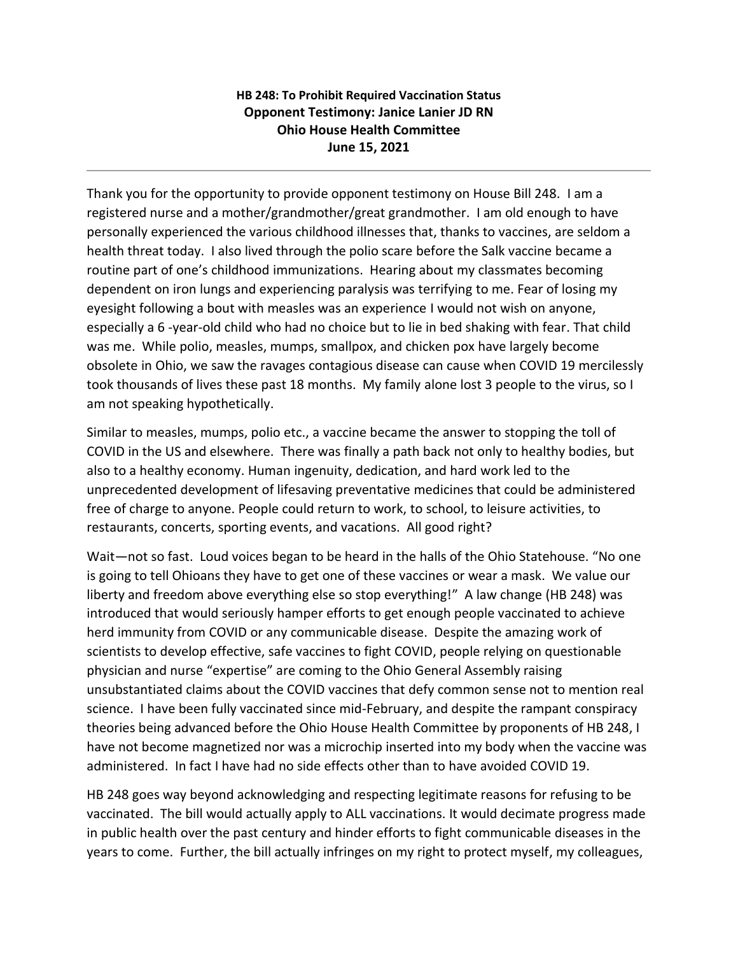## **HB 248: To Prohibit Required Vaccination Status Opponent Testimony: Janice Lanier JD RN Ohio House Health Committee June 15, 2021**

Thank you for the opportunity to provide opponent testimony on House Bill 248. I am a registered nurse and a mother/grandmother/great grandmother. I am old enough to have personally experienced the various childhood illnesses that, thanks to vaccines, are seldom a health threat today. I also lived through the polio scare before the Salk vaccine became a routine part of one's childhood immunizations. Hearing about my classmates becoming dependent on iron lungs and experiencing paralysis was terrifying to me. Fear of losing my eyesight following a bout with measles was an experience I would not wish on anyone, especially a 6 -year-old child who had no choice but to lie in bed shaking with fear. That child was me. While polio, measles, mumps, smallpox, and chicken pox have largely become obsolete in Ohio, we saw the ravages contagious disease can cause when COVID 19 mercilessly took thousands of lives these past 18 months. My family alone lost 3 people to the virus, so I am not speaking hypothetically.

Similar to measles, mumps, polio etc., a vaccine became the answer to stopping the toll of COVID in the US and elsewhere. There was finally a path back not only to healthy bodies, but also to a healthy economy. Human ingenuity, dedication, and hard work led to the unprecedented development of lifesaving preventative medicines that could be administered free of charge to anyone. People could return to work, to school, to leisure activities, to restaurants, concerts, sporting events, and vacations. All good right?

Wait—not so fast. Loud voices began to be heard in the halls of the Ohio Statehouse. "No one is going to tell Ohioans they have to get one of these vaccines or wear a mask. We value our liberty and freedom above everything else so stop everything!" A law change (HB 248) was introduced that would seriously hamper efforts to get enough people vaccinated to achieve herd immunity from COVID or any communicable disease. Despite the amazing work of scientists to develop effective, safe vaccines to fight COVID, people relying on questionable physician and nurse "expertise" are coming to the Ohio General Assembly raising unsubstantiated claims about the COVID vaccines that defy common sense not to mention real science. I have been fully vaccinated since mid-February, and despite the rampant conspiracy theories being advanced before the Ohio House Health Committee by proponents of HB 248, I have not become magnetized nor was a microchip inserted into my body when the vaccine was administered. In fact I have had no side effects other than to have avoided COVID 19.

HB 248 goes way beyond acknowledging and respecting legitimate reasons for refusing to be vaccinated. The bill would actually apply to ALL vaccinations. It would decimate progress made in public health over the past century and hinder efforts to fight communicable diseases in the years to come. Further, the bill actually infringes on my right to protect myself, my colleagues,